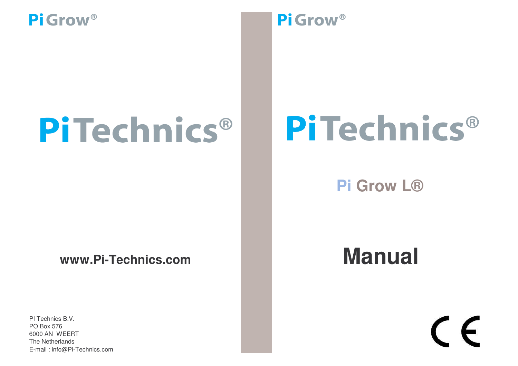# **PiTechnics**®

### **www.Pi-Technics.com**

PI Technics B.V. The Netherlands E-mail : info@Pi-Technics.com PO Box 576 6000 AN WEERT

### Pi Grow<sup>®</sup>

## PiTechnics®

### **Pi Grow L®**

## **Manual**

# $\epsilon$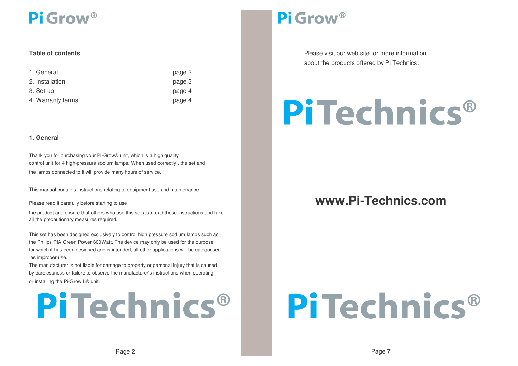#### **Table**

| 1. General        | page 2 |
|-------------------|--------|
| 2. Installation   | page 3 |
| 3. Set-up         | page 4 |
| 4. Warranty terms | page 4 |

#### **1. General**

Thank you for purchasing your Pi-Grow® unit, which is <sup>a</sup> high quality control unit for 4 high-pressure sodium lamps. When used correctly , the set and the lamps connected to it will provide many hours of service.

This manual contains instructions relating to equipment use and maintenance.

Please read it carefully before starting to use

the product and ensure that others who use this set also read these instructions and take all the precautionary measures required.

as improper use. This set has been designed exclusively to control high pressure sodium lamps such as the Philips PIA Green Power 600Watt. The device may only be used for the purpose for which it has been designed and is intended, all other applications will be categorised

by carelessness or failure to observe the manufacturer's instructions when operating The manufacturer is not liable for damage to property or personal injury that is caused or installing the Pi-Grow L® unit.

## **PiTechnics®**

### Pi Grow<sup>®</sup>

**Please visit our web site for more information** about the products offered by Pi Technics:

## **PiTechnics®**

### www.Pi-Technics.com

## PiTechnics®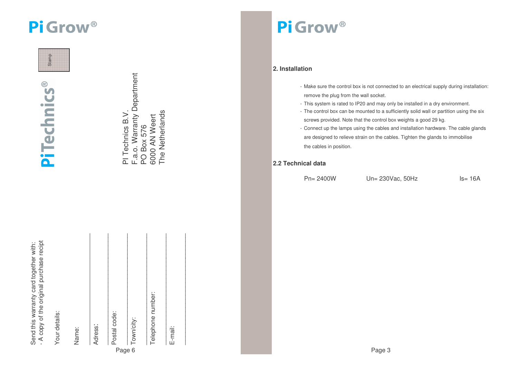Stamp

**PiTechnics®** 

| Send this warranty card together | A copy of the original purchase recir |
|----------------------------------|---------------------------------------|
|                                  |                                       |
|                                  |                                       |
|                                  |                                       |
|                                  |                                       |

Your details: Your details:

Name:

Adress:

Postal code: Postal code:

\_\_\_\_\_\_\_\_\_\_\_\_\_\_\_\_\_\_\_\_\_\_\_\_\_\_\_

Page 6 Town/city:

 $\mathcal{L}_\text{max}$ 

PI Technics B.V.

PI Technics B.V.

F.a.o. Warranty Department

F.a.o. Warranty Department

PO Box 576 Box 576 6000 AN Weert The Netherlands

The Netherlands 6000 AN Weert

Telephone number: Telephone number:

 $\mathcal{L}_\text{max}$ 

E-mail:

 $\mathcal{L}_\text{max}$ 

 $\mathcal{L}=\{x\in\mathcal{L}: x\in\mathcal{L}\}$ 

Pi Grow<sup>®</sup>

#### **2. Installation**

- Make sure the control box is not connected to an electrical supply during installation: remove the plug from the wall socket.
- This system is rated to IP20 and may only be installed in <sup>a</sup> dry environment.
- The control box can be mounted to <sup>a</sup> sufficiently solid wall or partition using the six screws provided. Note that the control box weights <sup>a</sup> good 29 kg.
- Connect up the lamps using the cables and installation hardware. The cable glands are designed to relieve strain on the cables. Tighten the glands to im mobilise the cables in position.

#### **2.2Technical data**

Pn=2400W

Un=230Vac, 5 0Hz

z ls= 16A

Page 3